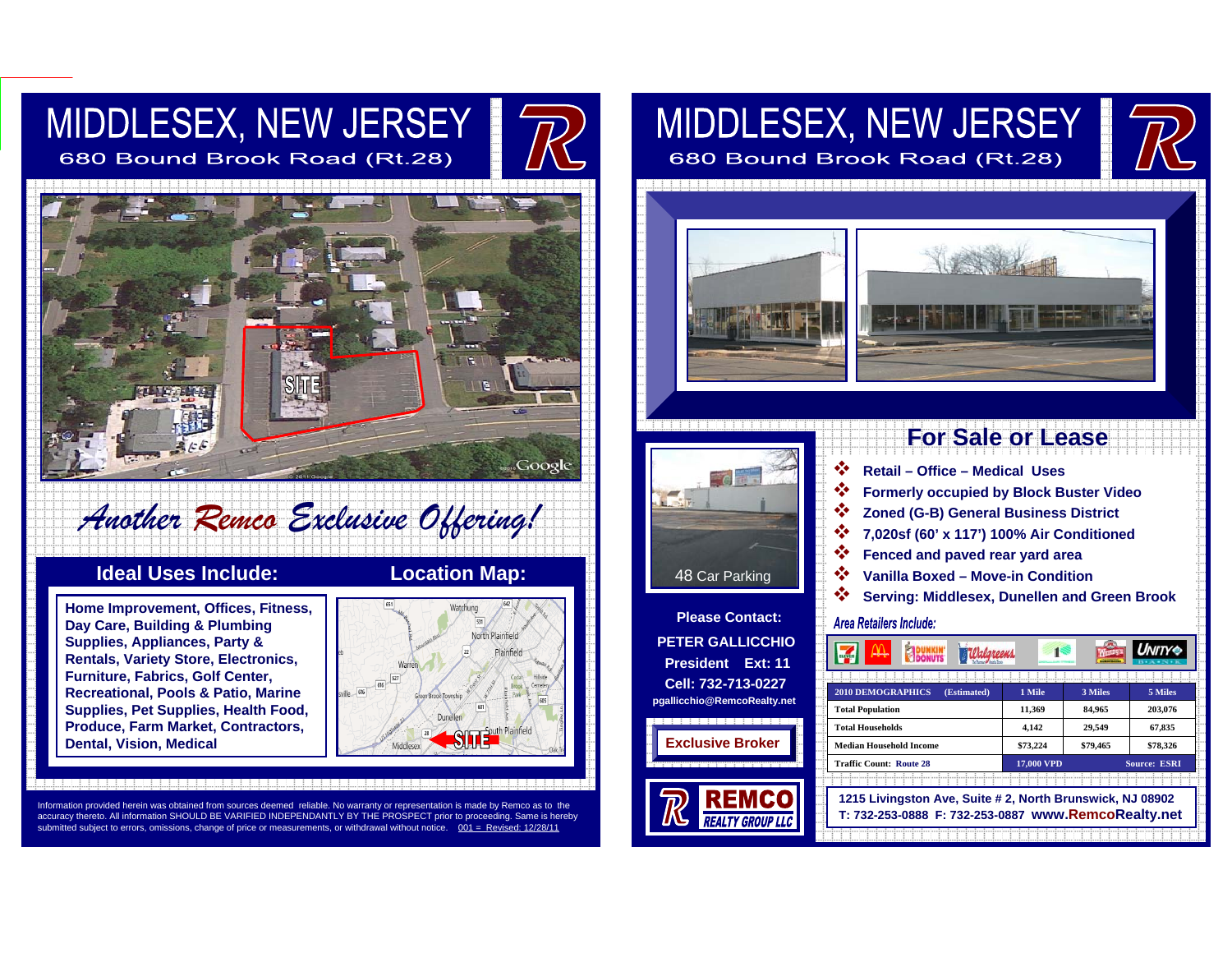# MIDDLESEX, NEW JERSEY

680 Bound Brook Road (Rt.28)



# *Another Remco Exclusive Offering!*

## **Ideal Uses Include: Location Map:**

**Home Improvement, Offices, Fitness, Day Care, Building & Plumbing Supplies, Appliances, Party & Rentals, Variety Store, Electronics, Furniture, Fabrics, Golf Center, Recreational, Pools & Patio, Marine Supplies, Pet Supplies, Health Food, Produce, Farm Market, Contractors, Dental, Vision, Medical**



Information provided herein was obtained from sources deemed reliable. No warranty or representation is made by Remco as to the<br>accuracy thereto. All information SHOULD BE VARIFIED INDEPENDANTLY BY THE PROSPECT prior to pr submitted subiect to errors, omissions, change of price or measurements, or withdrawal without notice.

# MIDDLESEX, NEW JERSEY 680 Bound Brook Road (Rt.28)





**Please Contact:PETER GALLICCHIOPresident Ext: 11Cell: 732-713-0227pgallicchio@RemcoRealty.net**

**Exclusive Broke** 

# **For Sale or Lease**

- ∙∑∙ **Retail – Office – Medical Uses**  ❖ **Formerly occupied by Block Buster Video**
- ❖ **Zoned (G-B) General Business District**
- ❖ **7,020sf (60' x 117') 100% Air Conditioned**
- ❖ **Fenced and paved rear yard area**
- ❖ **Vanilla Boxed – Move-in Condition**
- ❖ **Serving: Middlesex, Dunellen and Green Brook**

#### Area Retailers Include:

| <u> Valgreens</u><br>lmönder<br><b>DONUTS</b> |                      |          | <b>UNITY®</b>       |
|-----------------------------------------------|----------------------|----------|---------------------|
|                                               |                      |          |                     |
| <b>2010 DEMOGRAPHICS</b><br>(Estimated)       | 1 Mile               | 3 Miles  | 5 Miles             |
| <b>Total Population</b>                       | 11.369               | 84.965   | 203,076             |
| <b>Total Households</b>                       | 4,142                | 29.549   | 67,835              |
| <b>Median Household Income</b>                | \$73,224             | \$79,465 | \$78,326            |
| <b>Traffic Count: Route 28</b>                | <b>VPD</b><br>17.000 |          | <b>Source: ESRI</b> |

**1215 Livingston Ave, Suite # 2, North Brunswick, NJ 08902**

**17,000 VPD** Source: **ESRI**